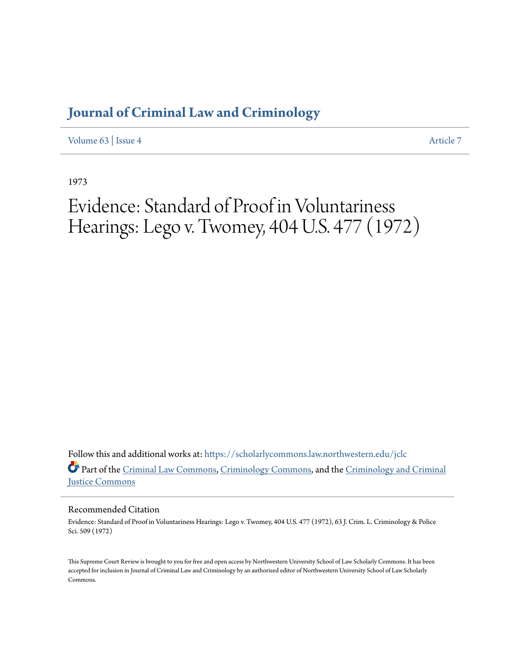## **[Journal of Criminal Law and Criminology](https://scholarlycommons.law.northwestern.edu/jclc?utm_source=scholarlycommons.law.northwestern.edu%2Fjclc%2Fvol63%2Fiss4%2F7&utm_medium=PDF&utm_campaign=PDFCoverPages)**

[Volume 63](https://scholarlycommons.law.northwestern.edu/jclc/vol63?utm_source=scholarlycommons.law.northwestern.edu%2Fjclc%2Fvol63%2Fiss4%2F7&utm_medium=PDF&utm_campaign=PDFCoverPages) | [Issue 4](https://scholarlycommons.law.northwestern.edu/jclc/vol63/iss4?utm_source=scholarlycommons.law.northwestern.edu%2Fjclc%2Fvol63%2Fiss4%2F7&utm_medium=PDF&utm_campaign=PDFCoverPages) [Article 7](https://scholarlycommons.law.northwestern.edu/jclc/vol63/iss4/7?utm_source=scholarlycommons.law.northwestern.edu%2Fjclc%2Fvol63%2Fiss4%2F7&utm_medium=PDF&utm_campaign=PDFCoverPages)

1973

# Evidence: Standard of Proof in Voluntariness Hearings: Lego v. Twomey, 404 U.S. 477 (1972)

Follow this and additional works at: [https://scholarlycommons.law.northwestern.edu/jclc](https://scholarlycommons.law.northwestern.edu/jclc?utm_source=scholarlycommons.law.northwestern.edu%2Fjclc%2Fvol63%2Fiss4%2F7&utm_medium=PDF&utm_campaign=PDFCoverPages) Part of the [Criminal Law Commons](http://network.bepress.com/hgg/discipline/912?utm_source=scholarlycommons.law.northwestern.edu%2Fjclc%2Fvol63%2Fiss4%2F7&utm_medium=PDF&utm_campaign=PDFCoverPages), [Criminology Commons](http://network.bepress.com/hgg/discipline/417?utm_source=scholarlycommons.law.northwestern.edu%2Fjclc%2Fvol63%2Fiss4%2F7&utm_medium=PDF&utm_campaign=PDFCoverPages), and the [Criminology and Criminal](http://network.bepress.com/hgg/discipline/367?utm_source=scholarlycommons.law.northwestern.edu%2Fjclc%2Fvol63%2Fiss4%2F7&utm_medium=PDF&utm_campaign=PDFCoverPages) [Justice Commons](http://network.bepress.com/hgg/discipline/367?utm_source=scholarlycommons.law.northwestern.edu%2Fjclc%2Fvol63%2Fiss4%2F7&utm_medium=PDF&utm_campaign=PDFCoverPages)

### Recommended Citation

Evidence: Standard of Proof in Voluntariness Hearings: Lego v. Twomey, 404 U.S. 477 (1972), 63 J. Crim. L. Criminology & Police Sci. 509 (1972)

This Supreme Court Review is brought to you for free and open access by Northwestern University School of Law Scholarly Commons. It has been accepted for inclusion in Journal of Criminal Law and Criminology by an authorized editor of Northwestern University School of Law Scholarly Commons.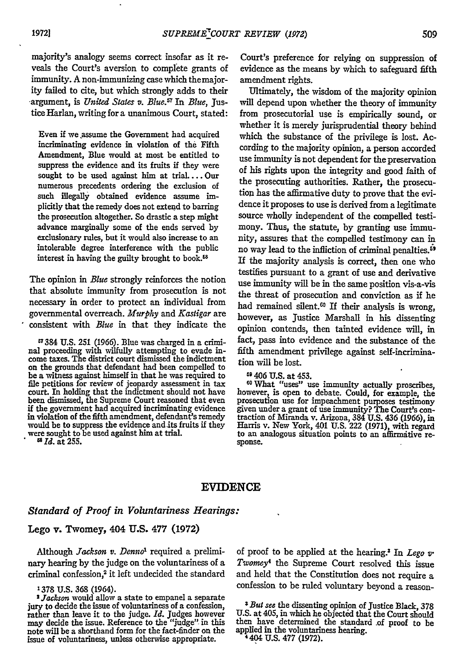majority's analogy seems correct insofar as it reveals the Court's aversion to complete grants of immunity. A non-immunizing case which themajority failed to cite, but which strongly adds to their ,argument, is *United States v. Blue.Y* In *Blue,* Justice Harlan, writing for a unanimous Court, stated:

Even if we assume the Government had acquired incriminating evidence in violation of the Fifth Amendment, Blue would at most be entitled to suppress the evidence and its fruits if they were sought to be used against him at trial ... Our numerous precedents ordering the exclusion of such illegally obtained evidence assume implicitly that the remedy does not extend to barring the prosecution altogether. So drastic a step might advance marginally some of the ends served **by** exclusionary rules, but it would also increase to an intolerable degree interference with the public interest in having the guilty brought to book.<sup>58</sup>

The opinion in *Blue* strongly reinforces the notion that absolute immunity from prosecution is not necessary in order to protect an individual from governmental overreach. *Murphy and Kastigar* are consistent with *Blue* in that they indicate the

**-** 384 **U.S.** 251 **(1966).** Blue was charged in a criminal proceeding with wilfully attempting to evade in- come taxes. The district court dismissed the indictment on the grounds that defendant had been compelled to be a witness against himself in that he was required to file petitions for review of jeopardy assessment in tax court. In holding that the indictment should not have been dismissed, the Supreme Court reasoned that even **if** the government had acquired incriminating evidence in violation of the fifth amendment, defendant's **remedy** would be to suppress the evidence and its fruits **if they** were sought to be used against him at trial. *• AId.* at 255.

Court's preference for relying on suppression of evidence as the means by which to safeguard fifth amendment rights.

Ultimately, the wisdom of the majority opinion will depend upon whether the theory of immunity from prosecutorial use is empirically sound, or whether it is merely jurisprudential theory behind which the substance of the privilege is lost. According to the majority opinion, a person accorded use immunity is not dependent for the preservation of his rights upon the integrity and good faith of the prosecuting authorities. Rather, the prosecution has the affirmative duty to prove that the evidence it proposes to use is derived from a legitimate source wholly independent of the compelled testimony. Thus, the statute, by granting use immunity, assures that the compelled testimony can in no way lead to the infliction of criminal penalties.<sup>59</sup> If the majority analysis is correct, then one who testifies pursuant to a grant of use and derivative use immunity will be in the same position vis-a-vis the threat of prosecution and conviction as if he had remained silent.<sup>60</sup> If their analysis is wrong, however, as Justice Marshall in his dissenting opinion contends, then tainted evidence will, in fact, pass into evidence and the substance of the fifth amendment privilege against self-incrimination will be lost.

**5'** 406 **U.S.** at 453. *1o* What "uses" use immunity actually proscribes, however, is open to debate. Could, for example, the prosecution use for impeachment purposes testimony given under a grant of use immunity? **The** Court's con- traction of Miranda v. Arizona, 384 **U.S.** 436 (1966), in Harris v. New York, 401 **U.S.** 222 **(1971),** with regard to an analogous situation points to an affirmitive re- sponse.

#### **EVIDENCE**

#### *Standard of Proof in Voluntariness Hearings:*

#### Lego v. Twomey, 404 **U.S. 477 (1972)**

Although *Jackson v. Denno'* required a preliminary hearing by the judge on the voluntariness of a criminal confession,<sup>2</sup> it left undecided the standard

1378 U.S. 368 (1964).

of proof to be applied at the hearing.3 In *Lego v" Twomey<sup>4</sup>*the Supreme Court resolved this issue and held that the Constitution does not require a confession to be ruled voluntary beyond a reason-

<sup>,</sup> *Jackson* would allow a state to empanel a separate jury to decide the issue of voluntariness of a confession, rather than leave it to the judge. *Id.* Judges however may decide the issue. Reference to the "judge" in this note will be a shorthand form for the fact-finder on the issue of voluntariness, unless otherwise appropriate.

*<sup>&#</sup>x27; But see* the dissenting opinion of Justice Black, **378** U.S. at 405, in which he objected that the Court should then have determined the standard of proof to be applied in the voluntariness hearing. 4 404 **U.S. 477 (1972).**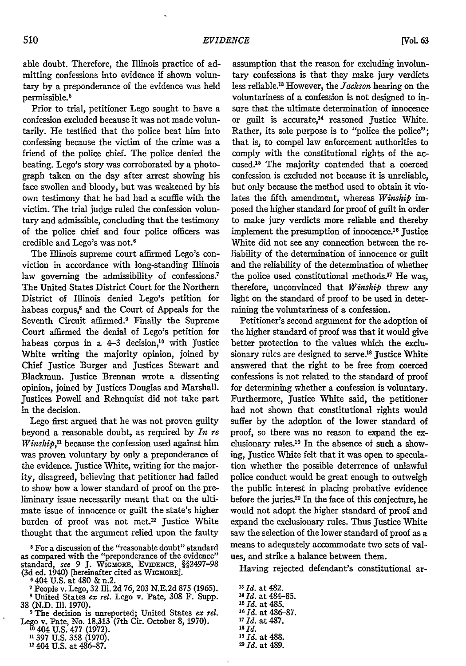*[Vol. 63*

able doubt. Therefore, the Illinois practice of admitting confessions into evidence if shown voluntary by a preponderance of the evidence was held permissible.'

Prior to trial, petitioner Lego sought to have a confession excluded because it was not made voluntarily. He testified that the police beat him into confessing because the victim of the crime was a friend of the police chief. The police denied the beating. Lego's story was corroborated by a photograph taken on the day after arrest showing his face swollen and bloody, but was weakened by his own testimony that he had had a scuffle with the victim. The trial judge ruled the confession voluntary and admissible, concluding that the testimony of the police chief and four police officers was credible and Lego's was not. <sup>6</sup>

The Illinois supreme court affirmed Lego's conviction in accordance with long-standing Illinois law governing the admissibility of confessions.<sup>7</sup> The United States District Court for the Northern District of Illinois denied Lego's petition for habeas corpus,<sup>8</sup> and the Court of Appeals for the Seventh Circuit affirmed.<sup>9</sup> Finally the Supreme Court affirmed the denial of Lego's petition for habeas corpus in a  $4-3$  decision,<sup>10</sup> with Justice White writing the majority opinion, joined by Chief Justice Burger and Justices Stewart and Blackmun. Justice Brennan wrote a dissenting opinion, joined by Justices Douglas and Marshall. Justices Powell and Rehnquist did not take part in the decision.

Lego first argued that he was not proven guilty beyond a reasonable doubt, as required by *In re Winship,"* because the confession used against him was proven voluntary by only a preponderance of the evidence. Justice White, writing for the majority, disagreed, believing that petitioner had failed to show how a lower standard of proof on the preliminary issue necessarily meant that on the ultimate issue of innocence or guilt the state's higher burden of proof was not met.<sup>12</sup> Justice White thought that the argument relied upon the faulty

<sup>5</sup> For a discussion of the "reasonable doubt" standard as compared with the "preponderance of the evidence" standard, see 9 J. WIGMORE, EVIDENCE, §§2497-98 (3d ed. 1940) [hereinafter cited as WiGmoRE].

**6** 404 U.S. at 480 & n.2.

' United States *ex rel.* Lego v. Pate, 308 F. Supp.

38 (N.D. Ill. 1970). **<sup>9</sup>**The decision is unreported; United States *ex rel.* Lego v. Pate, No. 18,313<sup>+</sup> (7th Cir. October 8, 1970)<sup>10</sup><br><sup>10</sup> 404 U.S. 477 (1972).<br>11 397 U.S. 358 (1970).

12404 U.S. at 486-87.

assumption that the reason for excluding involuntary confessions is that they make jury verdicts less reliable.<sup>13</sup> However, the *Jackson* hearing on the voluntariness of a confession is not designed to insure that the ultimate determination of innocence or guilt is accurate,<sup>14</sup> reasoned Justice White. Rather, its sole purpose is to "police the police"; that is, to compel law enforcement authorities to comply with the constitutional rights of the accused.<sup>15</sup> The majority contended that a coerced confession is excluded not because it is unreliable, but only because the method used to obtain it violates the fifth amendment, whereas *Winship im*posed the higher standard for proof of guilt in order to make jury verdicts more reliable and thereby implement the presumption of innocence.<sup>16</sup> Justice White did not see any connection between the reliability of the determination of innocence or guilt and the reliability of the determination of whether the police used constitutional methods.17 He was, therefore, unconvinced that *Winship* threw any light on the standard of proof to be used in determining the voluntariness of a confession.

Petitioner's second argument for the adoption of the higher standard of proof was that it would give better protection to the values which the exclusionary rules are designed to serve.<sup>18</sup> Justice White answered that the right to be free from coerced confessions is not related to the standard of proof for determining whether a confession is voluntary. Furthermore, Justice White said, the petitioner had not shown that constitutional rights would suffer by the adoption of the lower standard of proof, so there was no reason to expand the exclusionary rules. $^{19}$  In the absence of such a showing, Justice White felt that it was open to speculation whether the possible deterrence of unlawful police conduct would be great enough to outweigh the public interest in placing probative evidence before the juries.<sup>20</sup> In the face of this conjecture, he would not adopt the higher standard of proof and expand the exclusionary rules. Thus Justice White saw the selection of the lower standard of proof as a means to adequately accommodate two sets of values, and strike a balance between them.

Having rejected defendant's constitutional ar-

*"3 Id.* at 482. *"4 Id.* at 484-85. *"1 Id.* at 485. **16 Id.** at 486-87. **<sup>17</sup>***Id.* at 497. **18 Id. <sup>11</sup>***Id.* at 488. *2Id.* at 489.

<sup>&</sup>lt;sup>7</sup> People v. Lego, 32 Ill. 2d 76, 203 N.E.2d 875 (1965).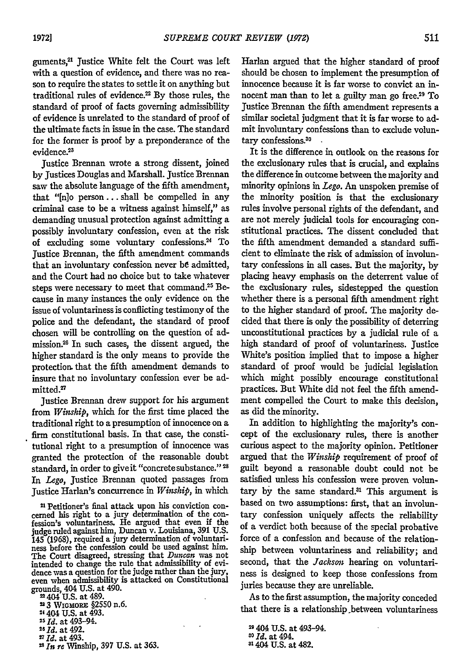guments,2' justice White felt the Court was left with a question of evidence, and there was no reason to require the states to settle it on anything but traditional rules of evidence. $22$  By those rules, the standard of proof of facts governing admissibility of evidence is unrelated to the standard of proof of the ultimate facts in issue in the case. The standard for the former is proof by a preponderance of the evidence.<sup>23</sup>

justice Brennan wrote a strong dissent, joined by Justices Douglas and Marshall. Justice Brennan saw the absolute language of the fifth amendment, that "[n]o person **...** shall be compelled in any criminal case to be a witness against himself," as demanding unusual protection against admitting a possibly involuntary confession, even at the risk of excluding some voluntary confessions.<sup>24</sup> To Justice Brennan, the fifth amendment commands that an involuntary confession never be admitted, and the Court had no choice but to take whatever steps were necessary to meet that command.<sup>25</sup> Because in many instances the only evidence on the issue of voluntariness is conflicting testimony of the police and the defendant, the standard of proof chosen will be controlling on the question of admission.28 In such cases, the dissent argued, the higher standard is the only means to provide the protection. that the fifth amendment demands to insure that no involuntary confession ever be admitted.<sup>27</sup>

Justice Brennan drew support for his argument from *Winship,* which for the first time placed the traditional right to a presumption of innocence on a firm constitutional basis. In that case, the constitutional right to a presumption of innocence was granted the protection of the reasonable doubt standard, in order to give it "concrete substance." **<sup>2</sup>** In Lego, Justice Brennan quoted passages from Justice Harlan's concurrence in *Winship,* in which

**21** Petitioner's final attack upon his conviction concemed his right to a jury determination of the con- fession's voluntariness. He argued that even **if** the judge ruled against him, Duncan v. Louisiana, **391** U.S. 145 (1968), required a jury determination of voluntari- ness before the confession could be used against him. The Court disagreed, stressing that *Duncan* was not intended to change the rule that admissibility of evidence was a question for the judge rather than the jury, even when admissibility is attacked on Constitutional grounds, 404 U.S. at 490.

22404 **U.S.** at 489. 2 3 WIGMORE **§2550** n.6.

24 404 U.S. at 493.

- 
- 

*7id.* at 493. *<sup>2</sup> In re* Winship, **397** U.S. at 363.

Harlan argued that the higher standard of proof should be chosen to implement the presumption of innocence because it is far worse to convict an innocent man than to let a guilty man go free.<sup>29</sup> To justice Brennan the fifth amendment represents a similar societal judgment that it is far worse to admit involuntary confessions than to exclude voluntary confessions.<sup>30</sup>

It is the difference in outlook on the reasons for the exclusionary rules that is crucial, and explains the difference in outcome between the majority and minority opinions in *Lego. An* unspoken premise of the minority position is that the exclusionary rules involve personal rights of the defendant, and are not merely judicial tools for encouraging constitutional practices. The dissent concluded that the fifth amendment demanded a standard sufficient to eliminate the risk of admission of involuntary confessions in all cases. But the majority, by placing heavy emphasis on the deterrent value of the exclusionary rules, sidestepped the question whether there is a personal fifth amendment right to the higher standard of proof. The majority decided that there is only the possibility of deterring unconstitutional practices by a judicial rule of a high standard of proof of voluntariness. Justice White's position implied that to impose a higher standard of proof would be judicial legislation which might possibly encourage constitutional practices. But White did not feel the fifth amendment compelled the Court to make this decision, as did the minority.

In addition to highlighting the majority's concept of the exclusionary rules, there is another curious aspect to the majority opinion. Petitioner argued that the *Winship* requirement of proof of guilt beyond a reasonable doubt could not be satisfied unless his confession were proven voluntary by the same standard.<sup>31</sup> This argument is based on two assumptions: first, that an involuntary confession uniquely affects the reliability of a verdict both because of the special probative force of a confession and because of the relationship between voluntariness and reliability; and second, that the *Jackson* hearing on voluntariness is designed to keep those confessions from juries because they are unreliable.

As to the first assumption, the majority conceded that there is a relationship .between voluntariness

*<sup>25</sup>Id.* at 493-94. *<sup>2</sup> <sup>6</sup>Id.* at 492. *<sup>2</sup>*

**<sup>29404</sup> U.S.** at 493-94. *0 Id.* at 494. **3404 U.S.** at 482.